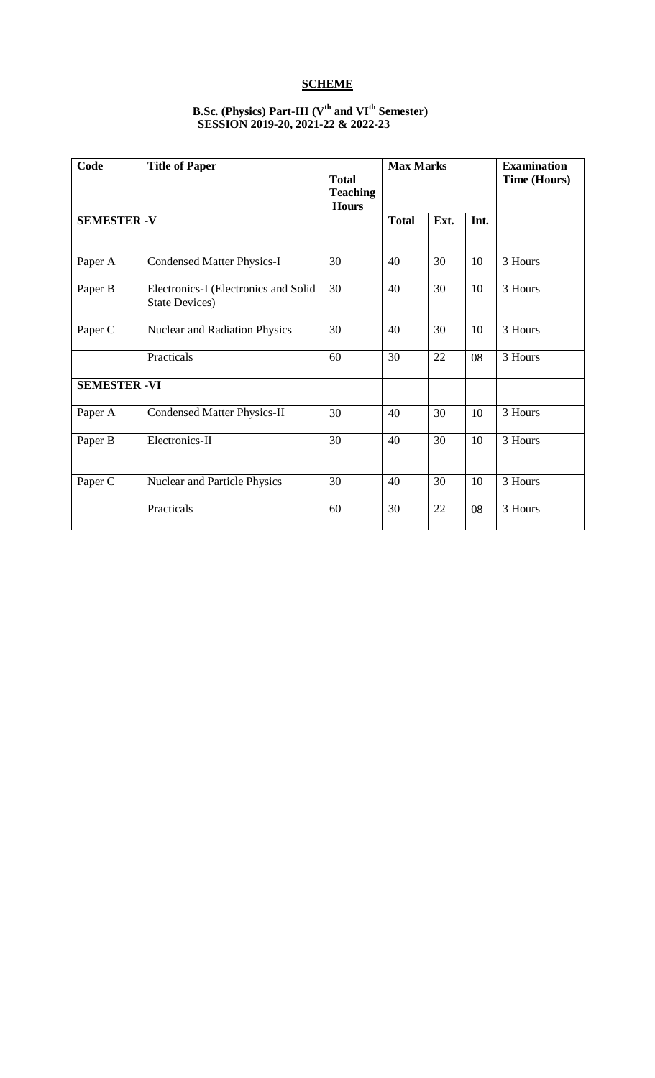# **SCHEME**

## **B.Sc. (Physics) Part-III (Vth and VIth Semester) SESSION 2019-20, 2021-22 & 2022-23**

| Code                | <b>Title of Paper</b>                                         | <b>Total</b><br><b>Teaching</b><br><b>Hours</b> | <b>Max Marks</b> |      |    | <b>Examination</b><br>Time (Hours) |  |
|---------------------|---------------------------------------------------------------|-------------------------------------------------|------------------|------|----|------------------------------------|--|
| <b>SEMESTER -V</b>  |                                                               | <b>Total</b>                                    | Ext.             | Int. |    |                                    |  |
| Paper A             | <b>Condensed Matter Physics-I</b>                             | 30                                              | 40               | 30   | 10 | 3 Hours                            |  |
| Paper B             | Electronics-I (Electronics and Solid<br><b>State Devices)</b> | 30                                              | 40               | 30   | 10 | 3 Hours                            |  |
| Paper C             | Nuclear and Radiation Physics                                 | 30                                              | 40               | 30   | 10 | 3 Hours                            |  |
|                     | Practicals                                                    | 60                                              | 30               | 22   | 08 | 3 Hours                            |  |
| <b>SEMESTER -VI</b> |                                                               |                                                 |                  |      |    |                                    |  |
| Paper A             | <b>Condensed Matter Physics-II</b>                            | 30                                              | 40               | 30   | 10 | 3 Hours                            |  |
| Paper B             | Electronics-II                                                | 30                                              | 40               | 30   | 10 | 3 Hours                            |  |
| Paper C             | <b>Nuclear and Particle Physics</b>                           | 30                                              | 40               | 30   | 10 | 3 Hours                            |  |
|                     | Practicals                                                    | 60                                              | 30               | 22   | 08 | 3 Hours                            |  |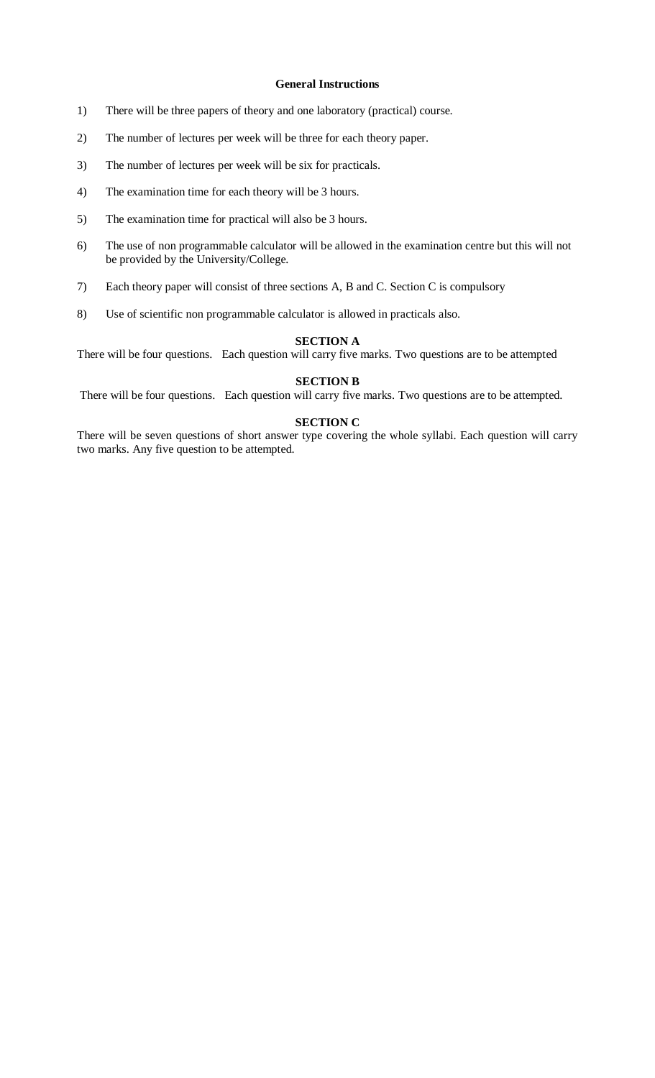## **General Instructions**

- 1) There will be three papers of theory and one laboratory (practical) course.
- 2) The number of lectures per week will be three for each theory paper.
- 3) The number of lectures per week will be six for practicals.
- 4) The examination time for each theory will be 3 hours.
- 5) The examination time for practical will also be 3 hours.
- 6) The use of non programmable calculator will be allowed in the examination centre but this will not be provided by the University/College.
- 7) Each theory paper will consist of three sections A, B and C. Section C is compulsory
- 8) Use of scientific non programmable calculator is allowed in practicals also.

## **SECTION A**

There will be four questions. Each question will carry five marks. Two questions are to be attempted

# **SECTION B**

There will be four questions. Each question will carry five marks. Two questions are to be attempted.

## **SECTION C**

There will be seven questions of short answer type covering the whole syllabi. Each question will carry two marks. Any five question to be attempted.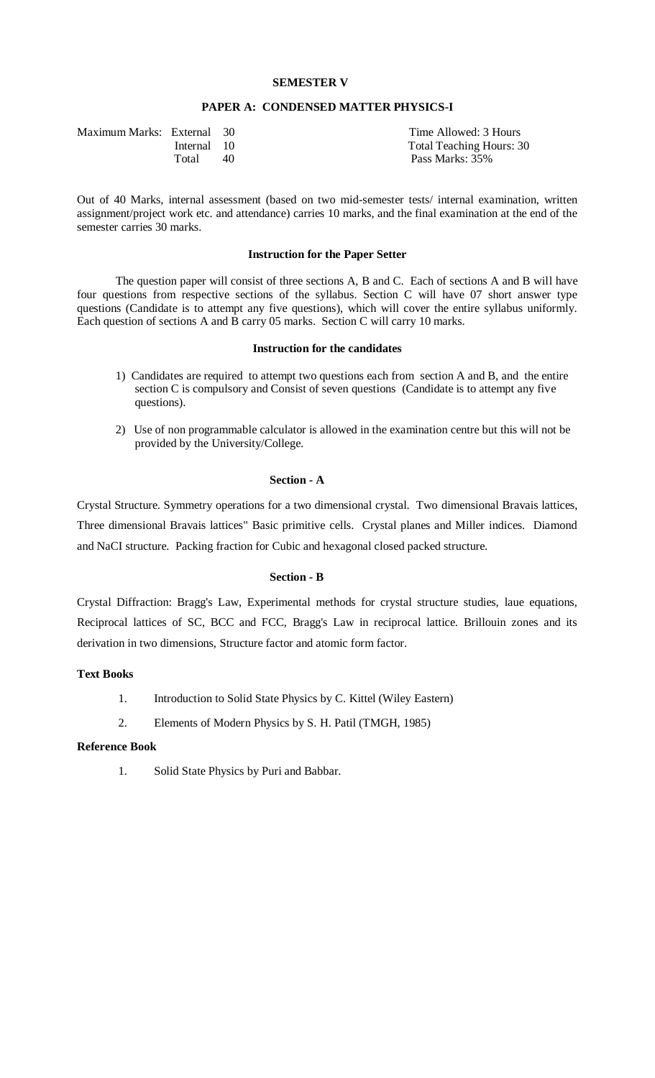## **SEMESTER V**

## **PAPER A: CONDENSED MATTER PHYSICS-I**

| Maximum Marks: External 30 |             |    | Time Allowed: 3 Hours           |
|----------------------------|-------------|----|---------------------------------|
|                            | Internal 10 |    | <b>Total Teaching Hours: 30</b> |
|                            | Total       | 40 | Pass Marks: 35%                 |

Out of 40 Marks, internal assessment (based on two mid-semester tests/ internal examination, written assignment/project work etc. and attendance) carries 10 marks, and the final examination at the end of the semester carries 30 marks.

#### **Instruction for the Paper Setter**

The question paper will consist of three sections A, B and C. Each of sections A and B will have four questions from respective sections of the syllabus. Section C will have 07 short answer type questions (Candidate is to attempt any five questions), which will cover the entire syllabus uniformly. Each question of sections A and B carry 05 marks. Section C will carry 10 marks.

## **Instruction for the candidates**

- 1) Candidates are required to attempt two questions each from section A and B, and the entire section C is compulsory and Consist of seven questions (Candidate is to attempt any five questions).
- 2) Use of non programmable calculator is allowed in the examination centre but this will not be provided by the University/College.

#### **Section - A**

Crystal Structure. Symmetry operations for a two dimensional crystal. Two dimensional Bravais lattices, Three dimensional Bravais lattices" Basic primitive cells. Crystal planes and Miller indices. Diamond and NaCI structure. Packing fraction for Cubic and hexagonal closed packed structure.

#### **Section - B**

Crystal Diffraction: Bragg's Law, Experimental methods for crystal structure studies, laue equations, Reciprocal lattices of SC, BCC and FCC, Bragg's Law in reciprocal lattice. Brillouin zones and its derivation in two dimensions, Structure factor and atomic form factor.

### **Text Books**

- 1. Introduction to Solid State Physics by C. Kittel (Wiley Eastern)
- 2. Elements of Modern Physics by S. H. Patil (TMGH, 1985)

## **Reference Book**

1. Solid State Physics by Puri and Babbar.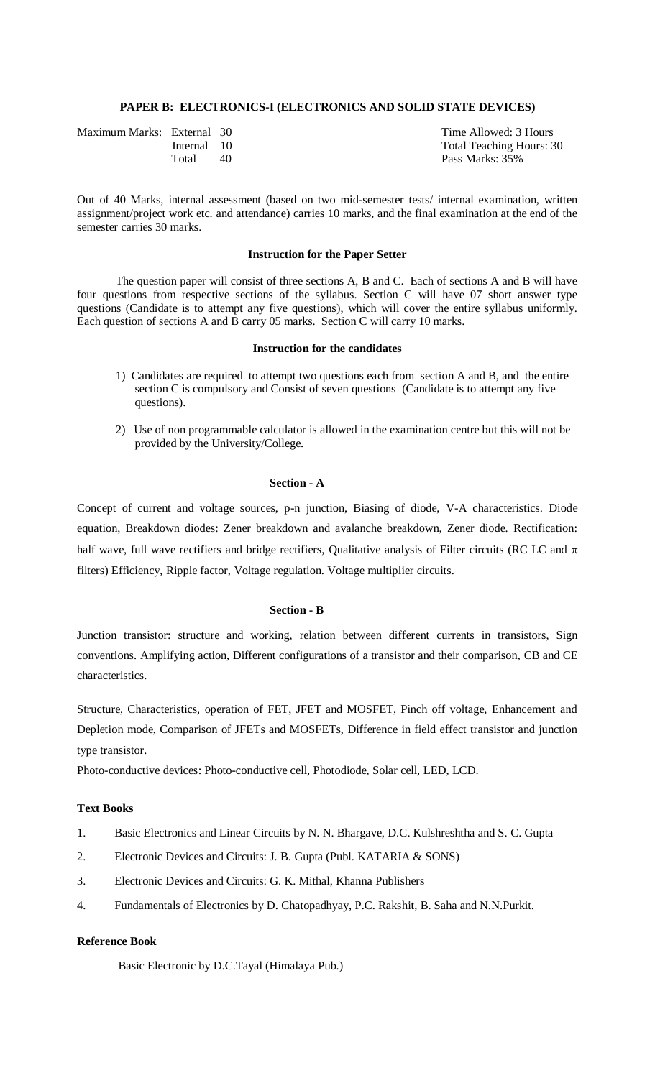## **PAPER B: ELECTRONICS-I (ELECTRONICS AND SOLID STATE DEVICES)**

| Maximum Marks: External 30 |             |    | Time Allowed: 3 Hours           |
|----------------------------|-------------|----|---------------------------------|
|                            | Internal 10 |    | <b>Total Teaching Hours: 30</b> |
|                            | Total       | 40 | Pass Marks: 35%                 |

Out of 40 Marks, internal assessment (based on two mid-semester tests/ internal examination, written assignment/project work etc. and attendance) carries 10 marks, and the final examination at the end of the semester carries 30 marks.

#### **Instruction for the Paper Setter**

The question paper will consist of three sections A, B and C. Each of sections A and B will have four questions from respective sections of the syllabus. Section C will have 07 short answer type questions (Candidate is to attempt any five questions), which will cover the entire syllabus uniformly. Each question of sections A and B carry 05 marks. Section C will carry 10 marks.

## **Instruction for the candidates**

- 1) Candidates are required to attempt two questions each from section A and B, and the entire section C is compulsory and Consist of seven questions (Candidate is to attempt any five questions).
- 2) Use of non programmable calculator is allowed in the examination centre but this will not be provided by the University/College.

## **Section - A**

Concept of current and voltage sources, p-n junction, Biasing of diode, V-A characteristics. Diode equation, Breakdown diodes: Zener breakdown and avalanche breakdown, Zener diode. Rectification: half wave, full wave rectifiers and bridge rectifiers, Qualitative analysis of Filter circuits (RC LC and  $\pi$ ) filters) Efficiency, Ripple factor, Voltage regulation. Voltage multiplier circuits.

### **Section - B**

Junction transistor: structure and working, relation between different currents in transistors, Sign conventions. Amplifying action, Different configurations of a transistor and their comparison, CB and CE characteristics.

Structure, Characteristics, operation of FET, JFET and MOSFET, Pinch off voltage, Enhancement and Depletion mode, Comparison of JFETs and MOSFETs, Difference in field effect transistor and junction type transistor.

Photo-conductive devices: Photo-conductive cell, Photodiode, Solar cell, LED, LCD.

## **Text Books**

- 1. Basic Electronics and Linear Circuits by N. N. Bhargave, D.C. Kulshreshtha and S. C. Gupta
- 2. Electronic Devices and Circuits: J. B. Gupta (Publ. KATARIA & SONS)
- 3. Electronic Devices and Circuits: G. K. Mithal, Khanna Publishers
- 4. Fundamentals of Electronics by D. Chatopadhyay, P.C. Rakshit, B. Saha and N.N.Purkit.

## **Reference Book**

Basic Electronic by D.C.Tayal (Himalaya Pub.)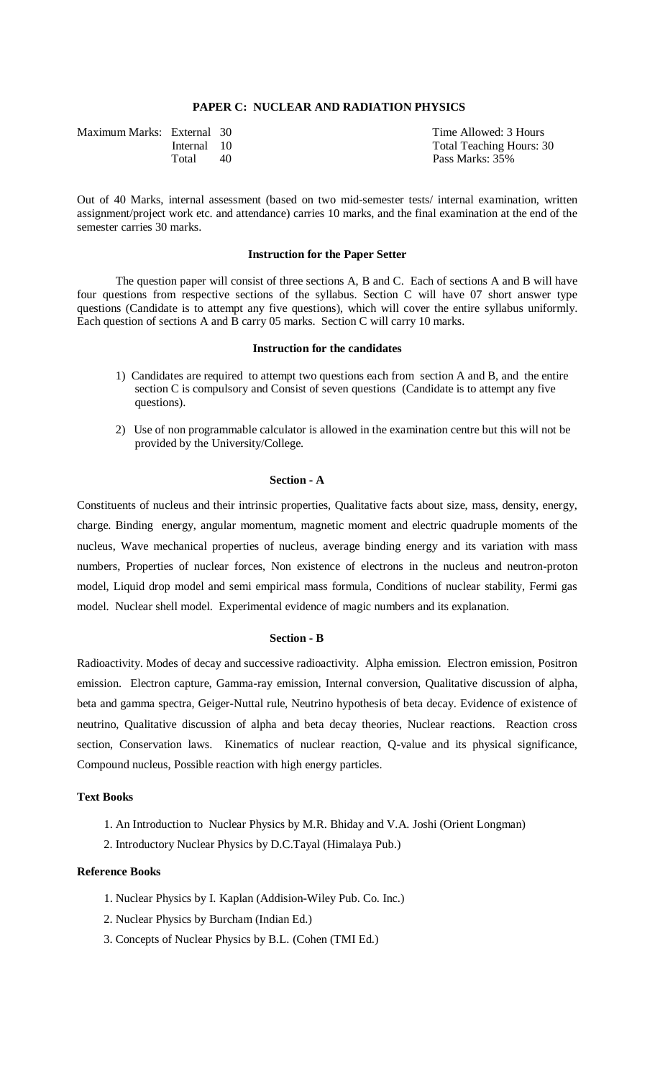## **PAPER C: NUCLEAR AND RADIATION PHYSICS**

| Maximum Marks: External 30 |             |    | Time Allowed: 3 Hours           |
|----------------------------|-------------|----|---------------------------------|
|                            | Internal 10 |    | <b>Total Teaching Hours: 30</b> |
|                            | Total       | 40 | Pass Marks: 35%                 |

Out of 40 Marks, internal assessment (based on two mid-semester tests/ internal examination, written assignment/project work etc. and attendance) carries 10 marks, and the final examination at the end of the semester carries 30 marks.

#### **Instruction for the Paper Setter**

The question paper will consist of three sections A, B and C. Each of sections A and B will have four questions from respective sections of the syllabus. Section C will have 07 short answer type questions (Candidate is to attempt any five questions), which will cover the entire syllabus uniformly. Each question of sections A and B carry 05 marks. Section C will carry 10 marks.

### **Instruction for the candidates**

- 1) Candidates are required to attempt two questions each from section A and B, and the entire section C is compulsory and Consist of seven questions (Candidate is to attempt any five questions).
- 2) Use of non programmable calculator is allowed in the examination centre but this will not be provided by the University/College.

### **Section - A**

Constituents of nucleus and their intrinsic properties, Qualitative facts about size, mass, density, energy, charge. Binding energy, angular momentum, magnetic moment and electric quadruple moments of the nucleus, Wave mechanical properties of nucleus, average binding energy and its variation with mass numbers, Properties of nuclear forces, Non existence of electrons in the nucleus and neutron-proton model, Liquid drop model and semi empirical mass formula, Conditions of nuclear stability, Fermi gas model. Nuclear shell model. Experimental evidence of magic numbers and its explanation.

#### **Section - B**

Radioactivity. Modes of decay and successive radioactivity. Alpha emission. Electron emission, Positron emission. Electron capture, Gamma-ray emission, Internal conversion, Qualitative discussion of alpha, beta and gamma spectra, Geiger-Nuttal rule, Neutrino hypothesis of beta decay. Evidence of existence of neutrino, Qualitative discussion of alpha and beta decay theories, Nuclear reactions. Reaction cross section, Conservation laws. Kinematics of nuclear reaction, Q-value and its physical significance, Compound nucleus, Possible reaction with high energy particles.

## **Text Books**

- 1. An Introduction to Nuclear Physics by M.R. Bhiday and V.A. Joshi (Orient Longman)
- 2. Introductory Nuclear Physics by D.C.Tayal (Himalaya Pub.)

### **Reference Books**

- 1. Nuclear Physics by I. Kaplan (Addision-Wiley Pub. Co. Inc.)
- 2. Nuclear Physics by Burcham (Indian Ed.)
- 3. Concepts of Nuclear Physics by B.L. (Cohen (TMI Ed.)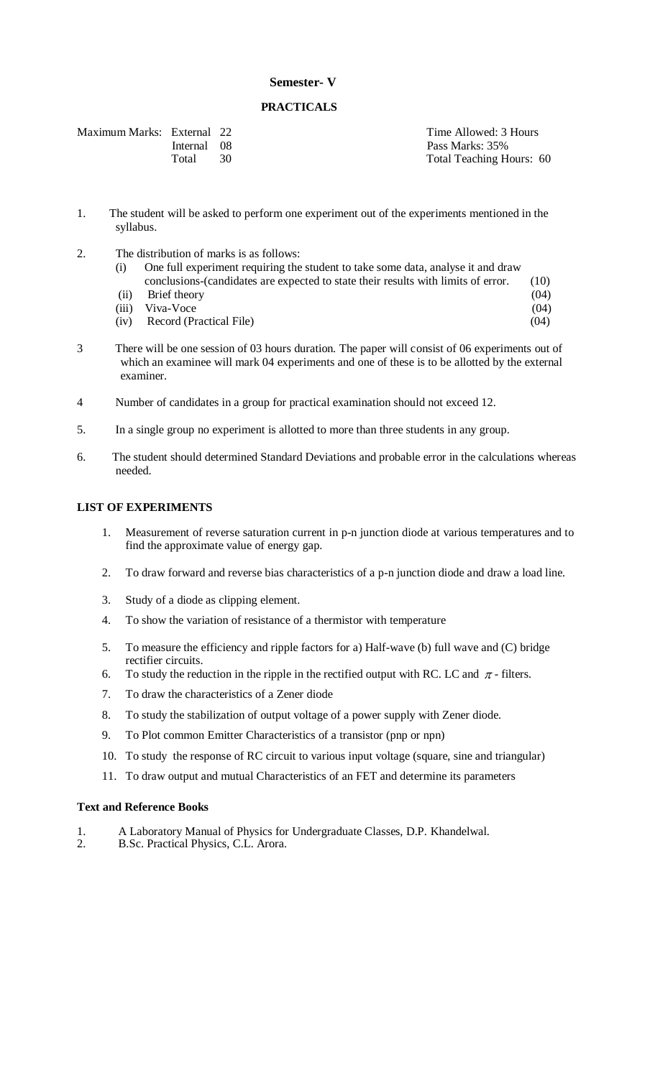## **Semester- V**

## **PRACTICALS**

| Maximum Marks: External 22 |             |  |
|----------------------------|-------------|--|
|                            | Internal 08 |  |
|                            | Total 30    |  |

Time Allowed: 3 Hours Pass Marks: 35% Total Teaching Hours: 60

- 1. The student will be asked to perform one experiment out of the experiments mentioned in the syllabus.
- 2. The distribution of marks is as follows:

| (i) | One full experiment requiring the student to take some data, analyse it and draw  |      |
|-----|-----------------------------------------------------------------------------------|------|
|     | conclusions-(candidates are expected to state their results with limits of error. | (10) |

- (ii) Brief theory (04) (iii) Viva-Voce (04) (iv) Record (Practical File) (04)
- 3 There will be one session of 03 hours duration. The paper will consist of 06 experiments out of which an examinee will mark 04 experiments and one of these is to be allotted by the external examiner.
- 4 Number of candidates in a group for practical examination should not exceed 12.
- 5. In a single group no experiment is allotted to more than three students in any group.
- 6. The student should determined Standard Deviations and probable error in the calculations whereas needed.

## **LIST OF EXPERIMENTS**

- 1. Measurement of reverse saturation current in p-n junction diode at various temperatures and to find the approximate value of energy gap.
- 2. To draw forward and reverse bias characteristics of a p-n junction diode and draw a load line.
- 3. Study of a diode as clipping element.
- 4. To show the variation of resistance of a thermistor with temperature
- 5. To measure the efficiency and ripple factors for a) Half-wave (b) full wave and (C) bridge rectifier circuits.
- 6. To study the reduction in the ripple in the rectified output with RC. LC and  $\pi$ -filters.
- 7. To draw the characteristics of a Zener diode
- 8. To study the stabilization of output voltage of a power supply with Zener diode.
- 9. To Plot common Emitter Characteristics of a transistor (pnp or npn)
- 10. To study the response of RC circuit to various input voltage (square, sine and triangular)
- 11. To draw output and mutual Characteristics of an FET and determine its parameters

## **Text and Reference Books**

- 1. A Laboratory Manual of Physics for Undergraduate Classes, D.P. Khandelwal.
- 2. B.Sc. Practical Physics, C.L. Arora.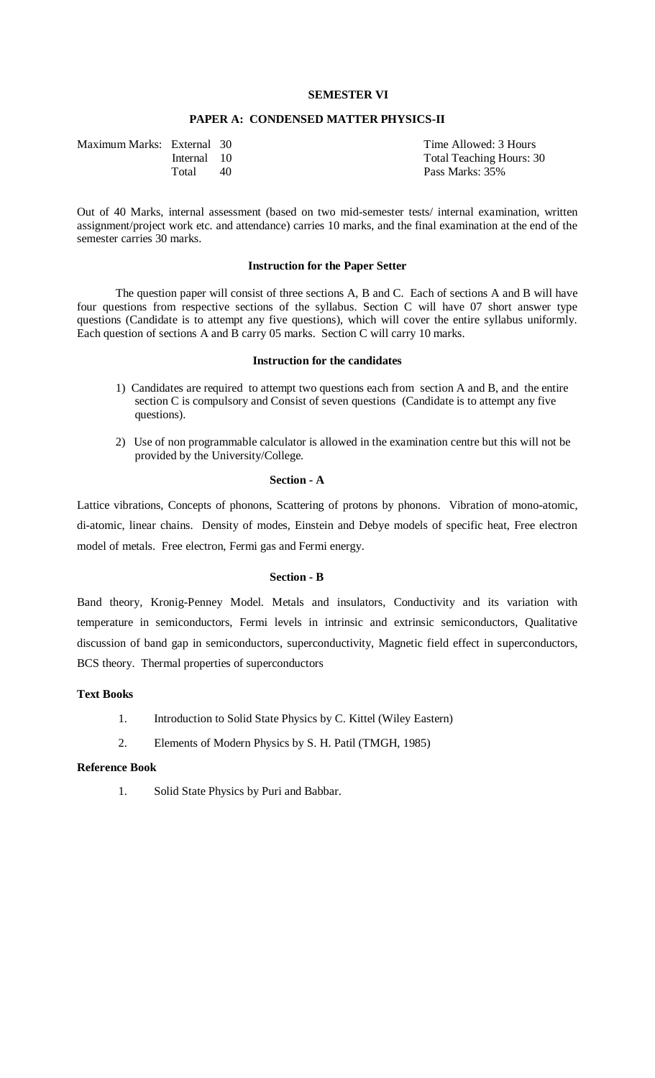## **SEMESTER VI**

### **PAPER A: CONDENSED MATTER PHYSICS-II**

| Maximum Marks: External 30 |             |    | Time Allowed: 3 Hours           |
|----------------------------|-------------|----|---------------------------------|
|                            | Internal 10 |    | <b>Total Teaching Hours: 30</b> |
|                            | Total       | 40 | Pass Marks: 35%                 |
|                            |             |    |                                 |

Out of 40 Marks, internal assessment (based on two mid-semester tests/ internal examination, written assignment/project work etc. and attendance) carries 10 marks, and the final examination at the end of the semester carries 30 marks.

## **Instruction for the Paper Setter**

The question paper will consist of three sections A, B and C. Each of sections A and B will have four questions from respective sections of the syllabus. Section C will have 07 short answer type questions (Candidate is to attempt any five questions), which will cover the entire syllabus uniformly. Each question of sections A and B carry 05 marks. Section C will carry 10 marks.

## **Instruction for the candidates**

- 1) Candidates are required to attempt two questions each from section A and B, and the entire section C is compulsory and Consist of seven questions (Candidate is to attempt any five questions).
- 2) Use of non programmable calculator is allowed in the examination centre but this will not be provided by the University/College.

#### **Section - A**

Lattice vibrations, Concepts of phonons, Scattering of protons by phonons. Vibration of mono-atomic, di-atomic, linear chains. Density of modes, Einstein and Debye models of specific heat, Free electron model of metals. Free electron, Fermi gas and Fermi energy.

#### **Section - B**

Band theory, Kronig-Penney Model. Metals and insulators, Conductivity and its variation with temperature in semiconductors, Fermi levels in intrinsic and extrinsic semiconductors, Qualitative discussion of band gap in semiconductors, superconductivity, Magnetic field effect in superconductors, BCS theory. Thermal properties of superconductors

## **Text Books**

- 1. Introduction to Solid State Physics by C. Kittel (Wiley Eastern)
- 2. Elements of Modern Physics by S. H. Patil (TMGH, 1985)

### **Reference Book**

1. Solid State Physics by Puri and Babbar.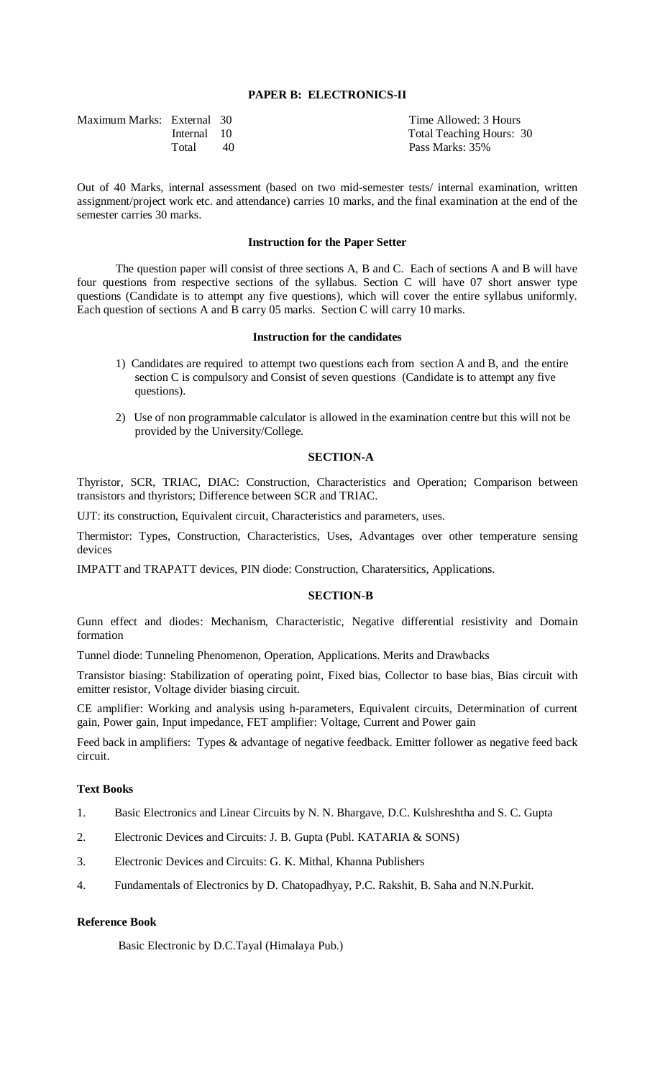## **PAPER B: ELECTRONICS-II**

| Maximum Marks: External 30 |             |    |
|----------------------------|-------------|----|
|                            | Internal 10 |    |
|                            | Total       | 40 |

Time Allowed: 3 Hours Total Teaching Hours: 30 Pass Marks: 35%

Out of 40 Marks, internal assessment (based on two mid-semester tests/ internal examination, written assignment/project work etc. and attendance) carries 10 marks, and the final examination at the end of the semester carries 30 marks.

#### **Instruction for the Paper Setter**

The question paper will consist of three sections A, B and C. Each of sections A and B will have four questions from respective sections of the syllabus. Section C will have 07 short answer type questions (Candidate is to attempt any five questions), which will cover the entire syllabus uniformly. Each question of sections A and B carry 05 marks. Section C will carry 10 marks.

#### **Instruction for the candidates**

- 1) Candidates are required to attempt two questions each from section A and B, and the entire section C is compulsory and Consist of seven questions (Candidate is to attempt any five questions).
- 2) Use of non programmable calculator is allowed in the examination centre but this will not be provided by the University/College.

## **SECTION-A**

Thyristor, SCR, TRIAC, DIAC: Construction, Characteristics and Operation; Comparison between transistors and thyristors; Difference between SCR and TRIAC.

UJT: its construction, Equivalent circuit, Characteristics and parameters, uses.

Thermistor: Types, Construction, Characteristics, Uses, Advantages over other temperature sensing devices

IMPATT and TRAPATT devices, PIN diode: Construction, Charatersitics, Applications.

#### **SECTION-B**

Gunn effect and diodes: Mechanism, Characteristic, Negative differential resistivity and Domain formation

Tunnel diode: Tunneling Phenomenon, Operation, Applications. Merits and Drawbacks

Transistor biasing: Stabilization of operating point, Fixed bias, Collector to base bias, Bias circuit with emitter resistor, Voltage divider biasing circuit.

CE amplifier: Working and analysis using h-parameters, Equivalent circuits, Determination of current gain, Power gain, Input impedance, FET amplifier: Voltage, Current and Power gain

Feed back in amplifiers: Types & advantage of negative feedback. Emitter follower as negative feed back circuit.

## **Text Books**

- 1. Basic Electronics and Linear Circuits by N. N. Bhargave, D.C. Kulshreshtha and S. C. Gupta
- 2. Electronic Devices and Circuits: J. B. Gupta (Publ. KATARIA & SONS)
- 3. Electronic Devices and Circuits: G. K. Mithal, Khanna Publishers
- 4. Fundamentals of Electronics by D. Chatopadhyay, P.C. Rakshit, B. Saha and N.N.Purkit.

## **Reference Book**

Basic Electronic by D.C.Tayal (Himalaya Pub.)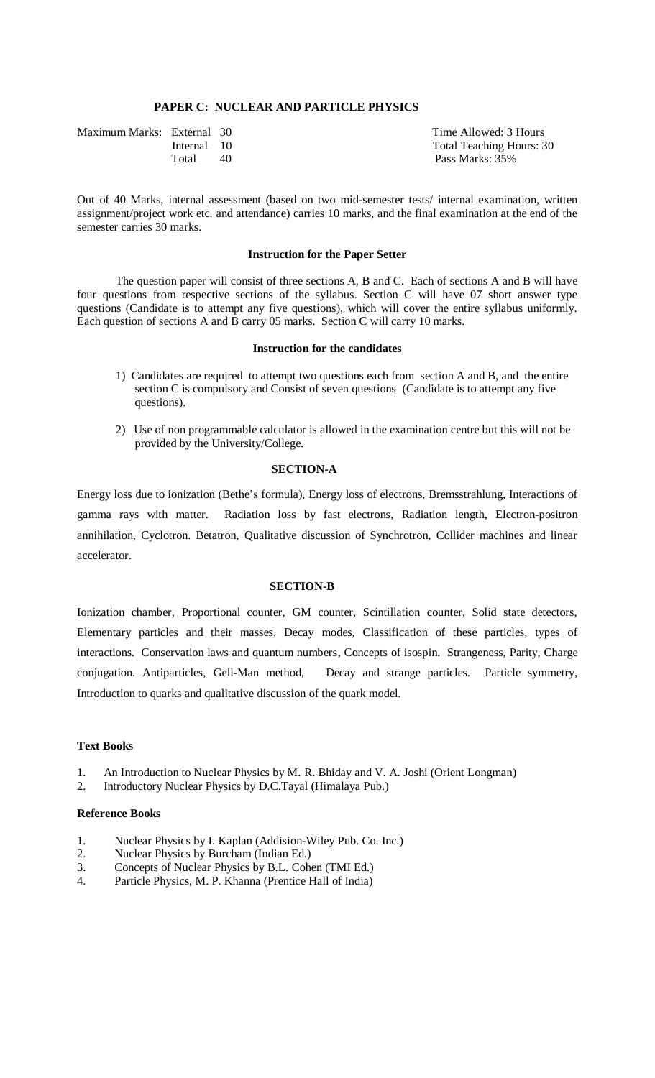## **PAPER C: NUCLEAR AND PARTICLE PHYSICS**

| Maximum Marks: External 30 |             |    | Time Allowed: 3 Hours           |
|----------------------------|-------------|----|---------------------------------|
|                            | Internal 10 |    | <b>Total Teaching Hours: 30</b> |
|                            | Total       | 40 | Pass Marks: 35%                 |

Out of 40 Marks, internal assessment (based on two mid-semester tests/ internal examination, written assignment/project work etc. and attendance) carries 10 marks, and the final examination at the end of the semester carries 30 marks.

#### **Instruction for the Paper Setter**

The question paper will consist of three sections A, B and C. Each of sections A and B will have four questions from respective sections of the syllabus. Section C will have 07 short answer type questions (Candidate is to attempt any five questions), which will cover the entire syllabus uniformly. Each question of sections A and B carry 05 marks. Section C will carry 10 marks.

## **Instruction for the candidates**

- 1) Candidates are required to attempt two questions each from section A and B, and the entire section C is compulsory and Consist of seven questions (Candidate is to attempt any five questions).
- 2) Use of non programmable calculator is allowed in the examination centre but this will not be provided by the University/College.

## **SECTION-A**

Energy loss due to ionization (Bethe's formula), Energy loss of electrons, Bremsstrahlung, Interactions of gamma rays with matter. Radiation loss by fast electrons, Radiation length, Electron-positron annihilation, Cyclotron. Betatron, Qualitative discussion of Synchrotron, Collider machines and linear accelerator.

## **SECTION-B**

Ionization chamber, Proportional counter, GM counter, Scintillation counter, Solid state detectors, Elementary particles and their masses, Decay modes, Classification of these particles, types of interactions. Conservation laws and quantum numbers, Concepts of isospin. Strangeness, Parity, Charge conjugation. Antiparticles, Gell-Man method, Decay and strange particles. Particle symmetry, Introduction to quarks and qualitative discussion of the quark model.

#### **Text Books**

- 1. An Introduction to Nuclear Physics by M. R. Bhiday and V. A. Joshi (Orient Longman)
- 2. Introductory Nuclear Physics by D.C.Tayal (Himalaya Pub.)

## **Reference Books**

- 1. Nuclear Physics by I. Kaplan (Addision-Wiley Pub. Co. Inc.)
- 2. Nuclear Physics by Burcham (Indian Ed.)
- 3. Concepts of Nuclear Physics by B.L. Cohen (TMI Ed.)
- 4. Particle Physics, M. P. Khanna (Prentice Hall of India)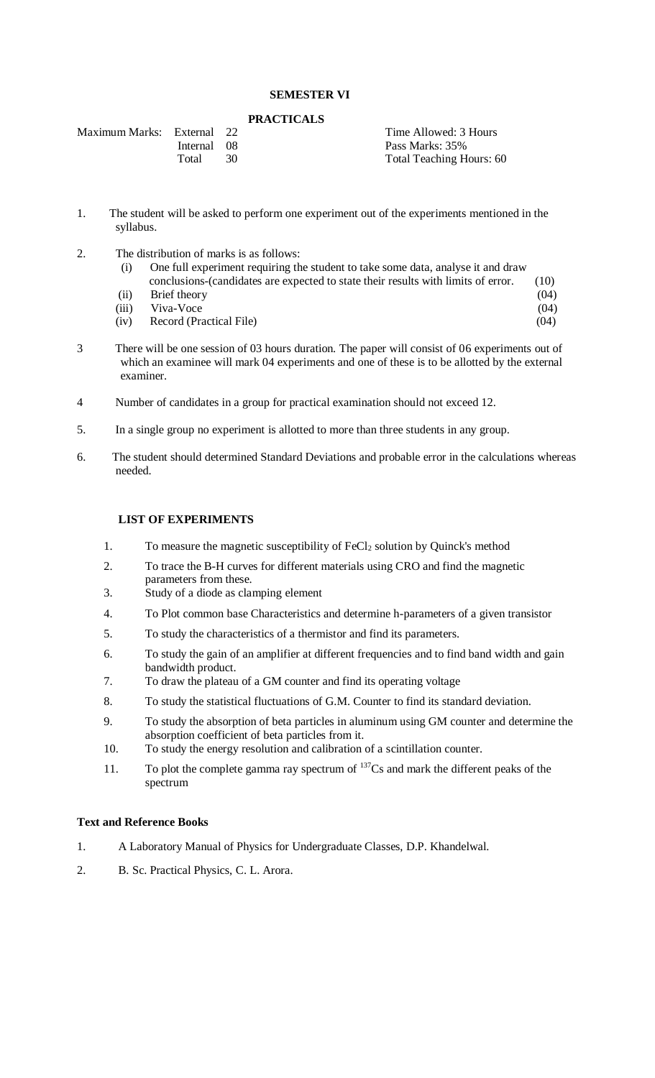# **SEMESTER VI**

### **PRACTICALS**

| Maximum Marks: External 22 |             |    | Time Allowed: 3 Hours    |
|----------------------------|-------------|----|--------------------------|
|                            | Internal 08 |    | Pass Marks: 35%          |
|                            | Total       | 30 | Total Teaching Hours: 60 |

- 1. The student will be asked to perform one experiment out of the experiments mentioned in the syllabus.
- 2. The distribution of marks is as follows:
	- (i) One full experiment requiring the student to take some data, analyse it and draw conclusions-(candidates are expected to state their results with limits of error. (10)
- (ii) Brief theory (04) (iii) Viva-Voce (04) (iv) Record (Practical File) (04)
- 3 There will be one session of 03 hours duration. The paper will consist of 06 experiments out of which an examinee will mark 04 experiments and one of these is to be allotted by the external examiner.
- 4 Number of candidates in a group for practical examination should not exceed 12.
- 5. In a single group no experiment is allotted to more than three students in any group.
- 6. The student should determined Standard Deviations and probable error in the calculations whereas needed.

## **LIST OF EXPERIMENTS**

- 1. To measure the magnetic susceptibility of FeCl<sub>2</sub> solution by Quinck's method
- 2. To trace the B-H curves for different materials using CRO and find the magnetic parameters from these.
- 3. Study of a diode as clamping element
- 4. To Plot common base Characteristics and determine h-parameters of a given transistor
- 5. To study the characteristics of a thermistor and find its parameters.
- 6. To study the gain of an amplifier at different frequencies and to find band width and gain bandwidth product.
- 7. To draw the plateau of a GM counter and find its operating voltage
- 8. To study the statistical fluctuations of G.M. Counter to find its standard deviation.
- 9. To study the absorption of beta particles in aluminum using GM counter and determine the absorption coefficient of beta particles from it.
- 10. To study the energy resolution and calibration of a scintillation counter.
- 11. To plot the complete gamma ray spectrum of  $137Cs$  and mark the different peaks of the spectrum

## **Text and Reference Books**

- 1. A Laboratory Manual of Physics for Undergraduate Classes, D.P. Khandelwal.
- 2. B. Sc. Practical Physics, C. L. Arora.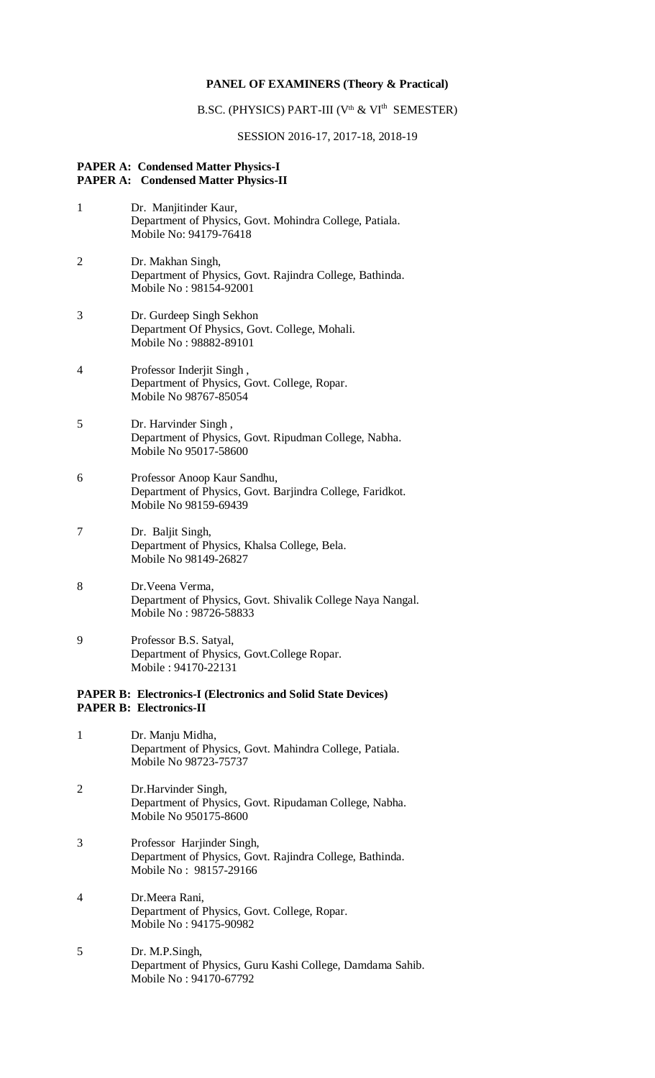### **PANEL OF EXAMINERS (Theory & Practical)**

### B.SC. (PHYSICS) PART-III (V<sup>th</sup> & VI<sup>th</sup> SEMESTER)

#### SESSION 2016-17, 2017-18, 2018-19

#### **PAPER A: Condensed Matter Physics-I PAPER A: Condensed Matter Physics-II**

- 1 Dr. Manjitinder Kaur, Department of Physics, Govt. Mohindra College, Patiala. Mobile No: 94179-76418
- 2 Dr. Makhan Singh, Department of Physics, Govt. Rajindra College, Bathinda. Mobile No : 98154-92001
- 3 Dr. Gurdeep Singh Sekhon Department Of Physics, Govt. College, Mohali. Mobile No : 98882-89101
- 4 Professor Inderjit Singh , Department of Physics, Govt. College, Ropar. Mobile No 98767-85054
- 5 Dr. Harvinder Singh , Department of Physics, Govt. Ripudman College, Nabha. Mobile No 95017-58600
- 6 Professor Anoop Kaur Sandhu, Department of Physics, Govt. Barjindra College, Faridkot. Mobile No 98159-69439
- 7 Dr. Baljit Singh, Department of Physics, Khalsa College, Bela. Mobile No 98149-26827
- 8 Dr.Veena Verma, Department of Physics, Govt. Shivalik College Naya Nangal. Mobile No : 98726-58833
- 9 Professor B.S. Satyal, Department of Physics, Govt.College Ropar. Mobile : 94170-22131

## **PAPER B: Electronics-I (Electronics and Solid State Devices) PAPER B: Electronics-II**

- 1 Dr. Manju Midha, Department of Physics, Govt. Mahindra College, Patiala. Mobile No 98723-75737
- 2 Dr.Harvinder Singh, Department of Physics, Govt. Ripudaman College, Nabha. Mobile No 950175-8600
- 3 Professor Harjinder Singh, Department of Physics, Govt. Rajindra College, Bathinda. Mobile No : 98157-29166
- 4 Dr.Meera Rani, Department of Physics, Govt. College, Ropar. Mobile No : 94175-90982
- 5 Dr. M.P.Singh, Department of Physics, Guru Kashi College, Damdama Sahib. Mobile No : 94170-67792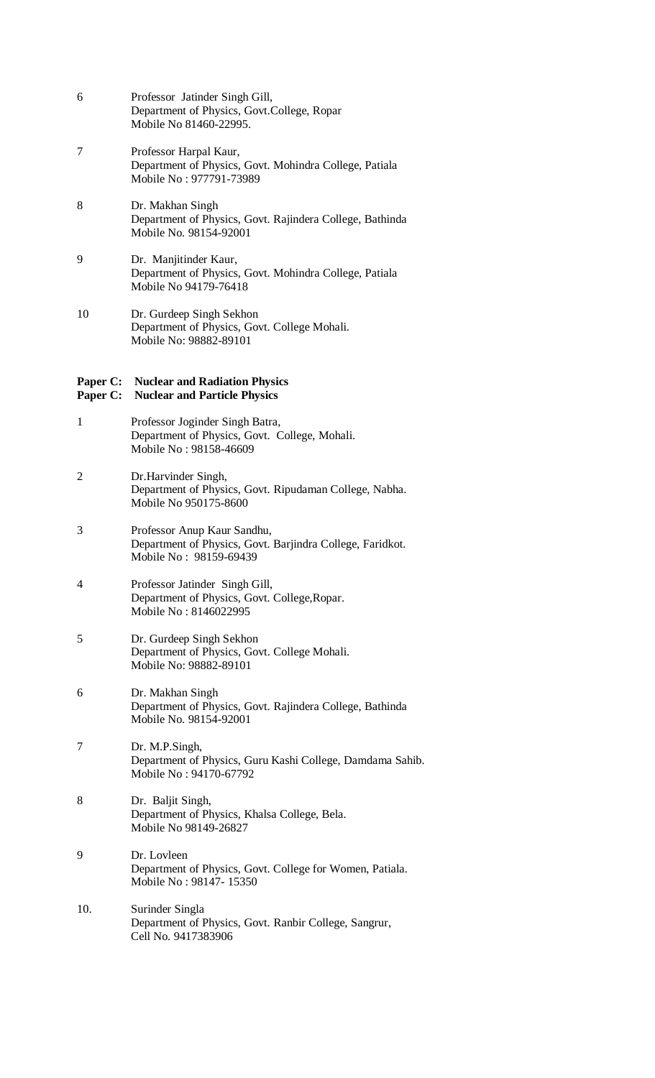- 6 Professor Jatinder Singh Gill, Department of Physics, Govt.College, Ropar Mobile No 81460-22995.
- 7 Professor Harpal Kaur, Department of Physics, Govt. Mohindra College, Patiala Mobile No : 977791-73989
- 8 Dr. Makhan Singh Department of Physics, Govt. Rajindera College, Bathinda Mobile No. 98154-92001
- 9 Dr. Manjitinder Kaur, Department of Physics, Govt. Mohindra College, Patiala Mobile No 94179-76418
- 10 Dr. Gurdeep Singh Sekhon Department of Physics, Govt. College Mohali. Mobile No: 98882-89101

## **Paper C: Nuclear and Radiation Physics**

## **Paper C: Nuclear and Particle Physics**

- 1 Professor Joginder Singh Batra, Department of Physics, Govt. College, Mohali. Mobile No : 98158-46609
- 2 Dr.Harvinder Singh, Department of Physics, Govt. Ripudaman College, Nabha. Mobile No 950175-8600
- 3 Professor Anup Kaur Sandhu, Department of Physics, Govt. Barjindra College, Faridkot. Mobile No : 98159-69439
- 4 Professor Jatinder Singh Gill, Department of Physics, Govt. College,Ropar. Mobile No : 8146022995
- 5 Dr. Gurdeep Singh Sekhon Department of Physics, Govt. College Mohali. Mobile No: 98882-89101
- 6 Dr. Makhan Singh Department of Physics, Govt. Rajindera College, Bathinda Mobile No. 98154-92001
- 7 Dr. M.P.Singh, Department of Physics, Guru Kashi College, Damdama Sahib. Mobile No : 94170-67792
- 8 Dr. Baljit Singh, Department of Physics, Khalsa College, Bela. Mobile No 98149-26827
- 9 Dr. Lovleen Department of Physics, Govt. College for Women, Patiala. Mobile No : 98147- 15350
- 10. Surinder Singla Department of Physics, Govt. Ranbir College, Sangrur, Cell No. 9417383906